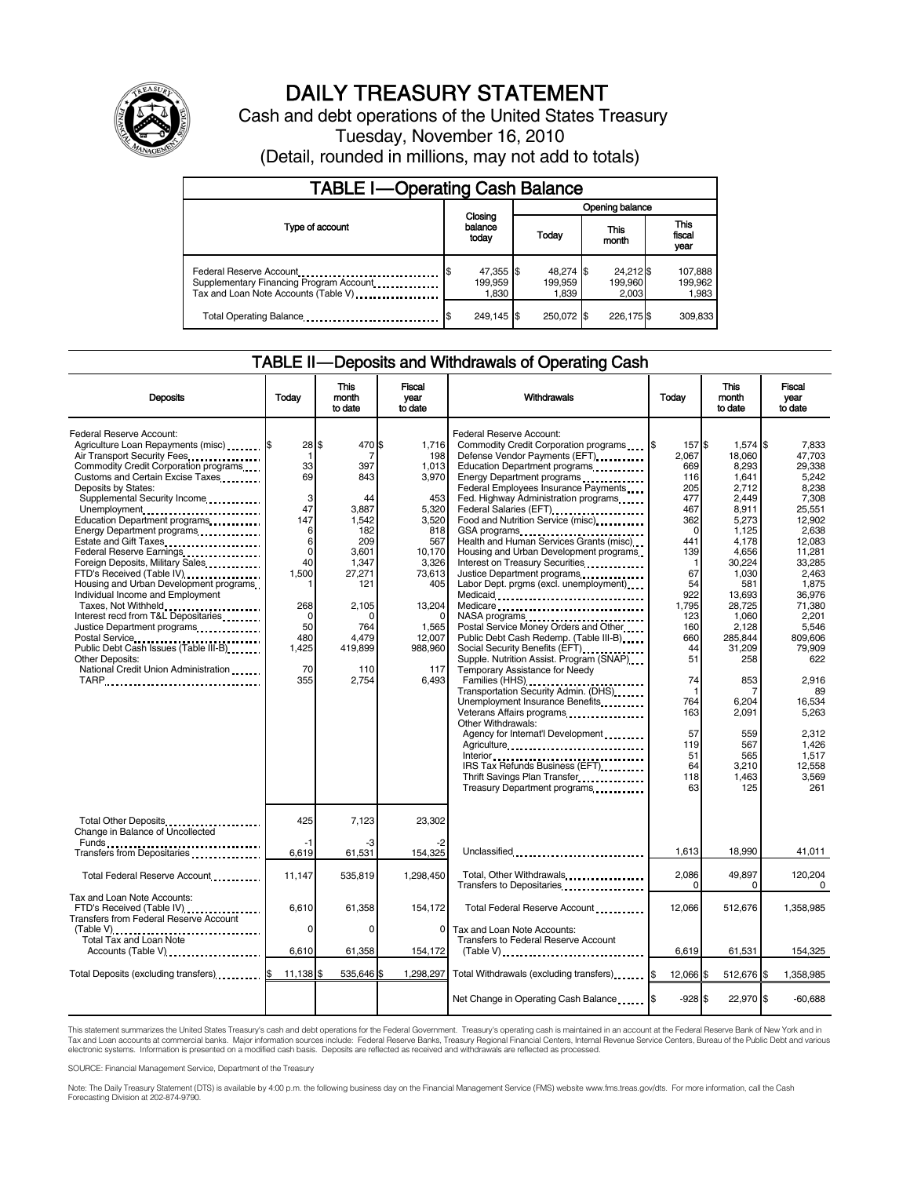

# DAILY TREASURY STATEMENT

Cash and debt operations of the United States Treasury Tuesday, November 16, 2010 (Detail, rounded in millions, may not add to totals)

| <b>TABLE I-Operating Cash Balance</b>                                                                      |                               |  |                               |                               |                               |  |  |
|------------------------------------------------------------------------------------------------------------|-------------------------------|--|-------------------------------|-------------------------------|-------------------------------|--|--|
|                                                                                                            | Opening balance               |  |                               |                               |                               |  |  |
| Type of account                                                                                            | Closing<br>balance<br>today   |  | This<br>Today<br>month        |                               | <b>This</b><br>fiscal<br>year |  |  |
| Federal Reserve Account<br>Supplementary Financing Program Account<br>Tax and Loan Note Accounts (Table V) | 47,355 \$<br>199.959<br>1.830 |  | 48,274 \$<br>199.959<br>1.839 | 24,212 \$<br>199,960<br>2.003 | 107,888<br>199.962<br>1,983   |  |  |
| Total Operating Balance                                                                                    | 249.145 \$                    |  | 250.072 \$                    | 226.175 \$                    | 309.833                       |  |  |

#### TABLE II — Deposits and Withdrawals of Operating Cash

| <b>Deposits</b>                                                                                                                                                                                                                                                                                                                                                                                                                                                                                                                                                                                                                                                                                                                      | Today                                                                                                                                   | This<br>month<br>to date                                                                                                                              | Fiscal<br>vear<br>to date                                                                                                                                                     | Withdrawals                                                                                                                                                                                                                                                                                                                                                                                                                                                                                                                                                                                                                                                                                                                                                                                                                                                                                                                                                                                                                                                                                                                                                                                                                                                                             | Today                                                                                                                                                                                                                | This<br>month<br>to date                                                                                                                                                                                                                                                    | Fiscal<br>vear<br>to date                                                                                                                                                                                                                                                                  |
|--------------------------------------------------------------------------------------------------------------------------------------------------------------------------------------------------------------------------------------------------------------------------------------------------------------------------------------------------------------------------------------------------------------------------------------------------------------------------------------------------------------------------------------------------------------------------------------------------------------------------------------------------------------------------------------------------------------------------------------|-----------------------------------------------------------------------------------------------------------------------------------------|-------------------------------------------------------------------------------------------------------------------------------------------------------|-------------------------------------------------------------------------------------------------------------------------------------------------------------------------------|-----------------------------------------------------------------------------------------------------------------------------------------------------------------------------------------------------------------------------------------------------------------------------------------------------------------------------------------------------------------------------------------------------------------------------------------------------------------------------------------------------------------------------------------------------------------------------------------------------------------------------------------------------------------------------------------------------------------------------------------------------------------------------------------------------------------------------------------------------------------------------------------------------------------------------------------------------------------------------------------------------------------------------------------------------------------------------------------------------------------------------------------------------------------------------------------------------------------------------------------------------------------------------------------|----------------------------------------------------------------------------------------------------------------------------------------------------------------------------------------------------------------------|-----------------------------------------------------------------------------------------------------------------------------------------------------------------------------------------------------------------------------------------------------------------------------|--------------------------------------------------------------------------------------------------------------------------------------------------------------------------------------------------------------------------------------------------------------------------------------------|
| Federal Reserve Account:<br>Agriculture Loan Repayments (misc)  S<br>Air Transport Security Fees<br>Commodity Credit Corporation programs<br>Customs and Certain Excise Taxes<br>Deposits by States:<br>Supplemental Security Income<br>Unemployment<br>Education Department programs<br>Energy Department programs<br><br>Estate and Gift Taxes<br>Federal Reserve Earnings<br>Foreign Deposits, Military Sales<br>FTD's Received (Table IV)<br>Housing and Urban Development programs<br>Individual Income and Employment<br>Taxes, Not Withheld<br>Interest recd from T&L Depositaries<br>Justice Department programs<br>Public Debt Cash Issues (Table III-B)<br>Other Deposits:<br>National Credit Union Administration<br>TARP | 28 \$<br>-1<br>33<br>69<br>3<br>47<br>147<br>6<br>6<br>$\mathbf 0$<br>40<br>1,500<br>268<br>$\Omega$<br>50<br>480<br>1,425<br>70<br>355 | 470\$<br>7<br>397<br>843<br>44<br>3.887<br>1,542<br>182<br>209<br>3.601<br>1,347<br>27,271<br>121<br>2,105<br>764<br>4,479<br>419,899<br>110<br>2,754 | 1,716<br>198<br>1.013<br>3,970<br>453<br>5.320<br>3,520<br>818<br>567<br>10.170<br>3,326<br>73,613<br>405<br>13,204<br>$\Omega$<br>1,565<br>12,007<br>988,960<br>117<br>6.493 | Federal Reserve Account:<br>Commodity Credit Corporation programs \6<br>Defense Vendor Payments (EFT)<br>Education Department programs<br>Energy Department programs<br><br>Federal Employees Insurance Payments<br>Fed. Highway Administration programs<br>Federal Salaries (EFT)<br>1999: 1999: 1999: 1999: 1999: 1999: 1999: 1999: 1999: 1999: 1999: 1999: 1999: 1999: 1999: 1999: 1999: 1999: 1999: 1999: 1999: 1999: 1999: 1999: 1999: 1999: 1999: 1999: 1999: 1999: 1999: 1999: 1999:<br>Food and Nutrition Service (misc)<br>GSA programs<br>Health and Human Services Grants (misc)<br>Housing and Urban Development programs<br>Interest on Treasury Securities<br>Justice Department programs<br>Labor Dept. prgms (excl. unemployment)<br>Medicaid<br>Medicare<br>Postal Service Money Orders and Other<br>Public Debt Cash Redemp. (Table III-B)<br>Social Security Benefits (EFT)<br>Supple. Nutrition Assist. Program (SNAP)<br>Temporary Assistance for Needy<br>Families (HHS)<br>Transportation Security Admin. (DHS)<br>Unemployment Insurance Benefits<br>Veterans Affairs programs<br>x<br>Other Withdrawals:<br>Agency for Internat'l Development<br>Agriculture<br>IRS Tax Refunds Business (EFT)<br>Thrift Savings Plan Transfer<br>Treasury Department programs | 157\$<br>2.067<br>669<br>116<br>205<br>477<br>467<br>362<br>$\Omega$<br>441<br>139<br>-1<br>67<br>54<br>922<br>1,795<br>123<br>160<br>660<br>44<br>51<br>74<br>f<br>764<br>163<br>57<br>119<br>51<br>64<br>118<br>63 | 1,574 \$<br>18.060<br>8.293<br>1,641<br>2,712<br>2.449<br>8.911<br>5,273<br>1,125<br>4,178<br>4,656<br>30,224<br>1,030<br>581<br>13.693<br>28,725<br>1,060<br>2,128<br>285.844<br>31,209<br>258<br>853<br>7<br>6,204<br>2.091<br>559<br>567<br>565<br>3,210<br>1,463<br>125 | 7,833<br>47,703<br>29.338<br>5,242<br>8,238<br>7,308<br>25.551<br>12,902<br>2,638<br>12,083<br>11.281<br>33,285<br>2,463<br>1,875<br>36.976<br>71,380<br>2,201<br>5,546<br>809.606<br>79,909<br>622<br>2,916<br>89<br>16,534<br>5,263<br>2,312<br>1,426<br>1,517<br>12.558<br>3,569<br>261 |
| Total Other Deposits<br>Change in Balance of Uncollected                                                                                                                                                                                                                                                                                                                                                                                                                                                                                                                                                                                                                                                                             | 425<br>-1                                                                                                                               | 7,123                                                                                                                                                 | 23,302                                                                                                                                                                        |                                                                                                                                                                                                                                                                                                                                                                                                                                                                                                                                                                                                                                                                                                                                                                                                                                                                                                                                                                                                                                                                                                                                                                                                                                                                                         |                                                                                                                                                                                                                      |                                                                                                                                                                                                                                                                             |                                                                                                                                                                                                                                                                                            |
| Transfers from Depositaries                                                                                                                                                                                                                                                                                                                                                                                                                                                                                                                                                                                                                                                                                                          | 6,619                                                                                                                                   | 61,531                                                                                                                                                | 154,325                                                                                                                                                                       | Unclassified                                                                                                                                                                                                                                                                                                                                                                                                                                                                                                                                                                                                                                                                                                                                                                                                                                                                                                                                                                                                                                                                                                                                                                                                                                                                            | 1.613                                                                                                                                                                                                                | 18.990                                                                                                                                                                                                                                                                      | 41,011                                                                                                                                                                                                                                                                                     |
| Total Federal Reserve Account                                                                                                                                                                                                                                                                                                                                                                                                                                                                                                                                                                                                                                                                                                        | 11,147                                                                                                                                  | 535,819                                                                                                                                               | 1,298,450                                                                                                                                                                     | Total, Other Withdrawals<br>Transfers to Depositaries                                                                                                                                                                                                                                                                                                                                                                                                                                                                                                                                                                                                                                                                                                                                                                                                                                                                                                                                                                                                                                                                                                                                                                                                                                   | 2,086<br>$\Omega$                                                                                                                                                                                                    | 49,897<br>$\Omega$                                                                                                                                                                                                                                                          | 120,204<br>0                                                                                                                                                                                                                                                                               |
| Tax and Loan Note Accounts:<br>FTD's Received (Table IV)<br><b>Transfers from Federal Reserve Account</b>                                                                                                                                                                                                                                                                                                                                                                                                                                                                                                                                                                                                                            | 6,610                                                                                                                                   | 61,358                                                                                                                                                | 154,172                                                                                                                                                                       | Total Federal Reserve Account                                                                                                                                                                                                                                                                                                                                                                                                                                                                                                                                                                                                                                                                                                                                                                                                                                                                                                                                                                                                                                                                                                                                                                                                                                                           | 12,066                                                                                                                                                                                                               | 512,676                                                                                                                                                                                                                                                                     | 1,358,985                                                                                                                                                                                                                                                                                  |
| (Table V)<br>Total Tax and Loan Note<br>Accounts (Table V)                                                                                                                                                                                                                                                                                                                                                                                                                                                                                                                                                                                                                                                                           | $\Omega$<br>6,610                                                                                                                       | 0<br>61,358                                                                                                                                           | $\Omega$<br>154,172                                                                                                                                                           | Tax and Loan Note Accounts:<br>Transfers to Federal Reserve Account<br>$(Table V)$                                                                                                                                                                                                                                                                                                                                                                                                                                                                                                                                                                                                                                                                                                                                                                                                                                                                                                                                                                                                                                                                                                                                                                                                      | 6,619                                                                                                                                                                                                                | 61,531                                                                                                                                                                                                                                                                      | 154,325                                                                                                                                                                                                                                                                                    |
| Total Deposits (excluding transfers)  \$                                                                                                                                                                                                                                                                                                                                                                                                                                                                                                                                                                                                                                                                                             | 11.138 \$                                                                                                                               | 535,646 \$                                                                                                                                            |                                                                                                                                                                               | 1,298,297 Total Withdrawals (excluding transfers) \$                                                                                                                                                                                                                                                                                                                                                                                                                                                                                                                                                                                                                                                                                                                                                                                                                                                                                                                                                                                                                                                                                                                                                                                                                                    | 12,066 \$                                                                                                                                                                                                            | 512,676 \$                                                                                                                                                                                                                                                                  | 1,358,985                                                                                                                                                                                                                                                                                  |
|                                                                                                                                                                                                                                                                                                                                                                                                                                                                                                                                                                                                                                                                                                                                      |                                                                                                                                         |                                                                                                                                                       |                                                                                                                                                                               |                                                                                                                                                                                                                                                                                                                                                                                                                                                                                                                                                                                                                                                                                                                                                                                                                                                                                                                                                                                                                                                                                                                                                                                                                                                                                         | $-928S$                                                                                                                                                                                                              | 22,970 \$                                                                                                                                                                                                                                                                   | $-60,688$                                                                                                                                                                                                                                                                                  |

This statement summarizes the United States Treasury's cash and debt operations for the Federal Government. Treasury's operating cash is maintained in an account at the Federal Reserve Bank of New York and in<br>Tax and Loan

SOURCE: Financial Management Service, Department of the Treasury

Note: The Daily Treasury Statement (DTS) is available by 4:00 p.m. the following business day on the Financial Management Service (FMS) website www.fms.treas.gov/dts. For more information, call the Cash Forecasting Division at 202-874-9790.